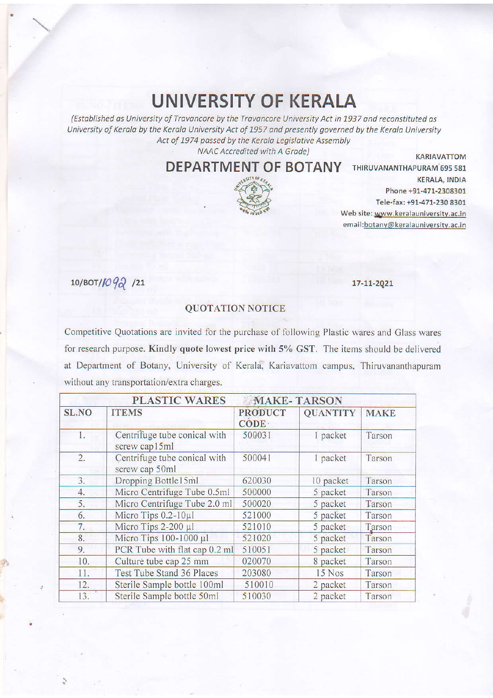## **UNIVERSITY OF KERALA**

(Established as University of Travancore by the Travancore University Act in 1937 and reconstituted as University of Kerala by the Kerala University Act of 1957 and presently governed by the Kerala University Act of 1974 passed by the Kerala Legislative Assembly NAAC Accredited with A Grade)

**DEPARTMENT OF BOTANY THIRUVANANTHAPURAM 695 581** 



**KERALA, INDIA** Phone +91-471-2308301 Tele-fax: +91-471-230 8301 Web site: www.keralauniversity.ac.in email:botany@keralauniversity.ac.in

**KARIAVATTOM** 

10/ВОТ/1092 /21

17-11-2021

## **QUOTATION NOTICE**

Competitive Quotations are invited for the purchase of following Plastic wares and Glass wares for research purpose. Kindly quote lowest price with 5% GST. The items should be delivered at Department of Botany, University of Kerala, Kariavattom campus, Thiruvananthapuram without any transportation/extra charges.

|              | <b>PLASTIC WARES</b><br><b>MAKE-TARSON</b>     |                          |                 |             |  |  |
|--------------|------------------------------------------------|--------------------------|-----------------|-------------|--|--|
| <b>SL.NO</b> | <b>ITEMS</b>                                   | <b>PRODUCT</b><br>CODE · | <b>QUANTITY</b> | <b>MAKE</b> |  |  |
| 1.           | Centrifuge tube conical with<br>screw cap15ml  | 500031                   | 1 packet        | Tarson      |  |  |
| 2.           | Centrifuge tube conical with<br>screw cap 50ml | 500041                   | 1 packet        | Tarson      |  |  |
| 3.           | Dropping Bottle15ml                            | 620030                   | 10 packet       | Tarson      |  |  |
| 4.           | Micro Centrifuge Tube 0.5ml                    | 500000                   | 5 packet        | Tarson      |  |  |
| 5.           | Micro Centrifuge Tube 2.0 ml                   | 500020                   | 5 packet        | Tarson      |  |  |
| 6.           | Micro Tips 0.2-10µ1                            | 521000                   | 5 packet        | Tarson      |  |  |
| 7.           | Micro Tips 2-200 µl                            | 521010                   | 5 packet        | Tarson      |  |  |
| 8.           | Micro Tips 100-1000 µl                         | 521020                   | 5 packet        | Tarson      |  |  |
| 9.           | PCR Tube with flat cap 0.2 ml                  | 510051                   | 5 packet        | Tarson      |  |  |
| 10.          | Culture tube cap 25 mm                         | 020070                   | 8 packet        | Tarson      |  |  |
| 11.          | <b>Test Tube Stand 36 Places</b>               | 203080                   | 15 Nos          | Tarson      |  |  |
| 12.          | Sterile Sample bottle 100ml                    | 510010                   | 2 packet        | Tarson      |  |  |
| 13.          | Sterile Sample bottle 50ml                     | 510030                   | 2 packet        | Tarson      |  |  |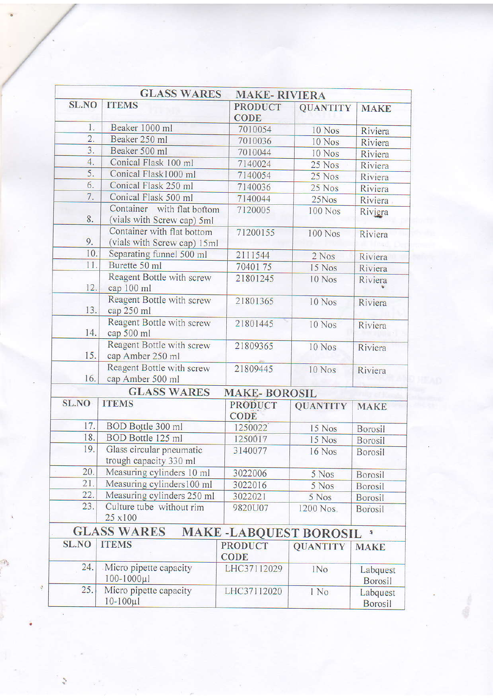|                  | <b>GLASS WARES</b>                                        | <b>MAKE-RIVIERA</b>           |                 |                            |
|------------------|-----------------------------------------------------------|-------------------------------|-----------------|----------------------------|
| <b>SL.NO</b>     | <b>ITEMS</b>                                              | <b>PRODUCT</b><br><b>CODE</b> | <b>QUANTITY</b> | <b>MAKE</b>                |
| 1.               | Beaker 1000 ml                                            | 7010054                       | 10 Nos          | Riviera                    |
| $\overline{2}$ . | Beaker 250 ml                                             | 7010036                       | 10 Nos          | Riviera                    |
| $\overline{3}$ . | Beaker 500 ml                                             | 7010044                       | 10 Nos          | Riviera                    |
| 4.               | Conical Flask 100 ml                                      | 7140024                       | 25 Nos          | Riviera                    |
| 5.               | Conical Flask1000 ml                                      | 7140054                       | 25 Nos          | Riviera                    |
| 6.               | Conical Flask 250 ml                                      | 7140036                       | 25 Nos          | Riviera                    |
| 7.               | Conical Flask 500 ml                                      | 7140044                       | 25Nos           | Riviera                    |
| 8.               | Container with flat bottom<br>(vials with Screw cap) 5ml  | 7120005                       | 100 Nos         | Riviera                    |
| 9.               | Container with flat bottom<br>(vials with Screw cap) 15ml | 71200155                      | <b>100 Nos</b>  | Riviera                    |
| 10.              | Separating funnel 500 ml                                  | 2111544                       | 2 Nos           | Riviera                    |
| 11.              | Burette 50 ml                                             | 7040175                       | 15 Nos          | Riviera                    |
| 12.              | Reagent Bottle with screw<br>cap 100 ml                   | 21801245                      | 10 Nos          | Riviera                    |
| 13.              | Reagent Bottle with screw<br>cap 250 ml                   | 21801365                      | 10 Nos          | Riviera                    |
| 14.              | Reagent Bottle with screw<br>cap 500 ml                   | 21801445                      | 10 Nos          | Riviera                    |
| 15.              | Reagent Bottle with screw<br>cap Amber 250 ml             | 21809365                      | 10 Nos          | Riviera                    |
| 16.              | Reagent Bottle with screw<br>cap Amber 500 ml             | 21809445                      | 10 Nos          | Riviera                    |
|                  | <b>GLASS WARES</b>                                        | <b>MAKE-BOROSIL</b>           |                 |                            |
| <b>SL.NO</b>     | <b>ITEMS</b>                                              | <b>PRODUCT</b><br><b>CODE</b> | <b>QUANTITY</b> | <b>MAKE</b>                |
| 17.              | BOD Bottle 300 ml                                         | 1250022                       | 15 Nos          | <b>Borosil</b>             |
| 18.              | BOD Bottle 125 ml                                         | 1250017                       | 15 Nos          | <b>Borosil</b>             |
| 19.              | Glass circular pneumatic<br>trough capacity 330 ml        | 3140077                       | 16 Nos          | <b>Borosil</b>             |
| 20.              | Measuring cylinders 10 ml                                 | 3022006                       | 5 Nos           | <b>Borosil</b>             |
| 21.              | Measuring cylinders100 ml                                 | 3022016                       | 5 Nos           | <b>Borosil</b>             |
| 22.              | Measuring cylinders 250 ml                                | 3022021                       | 5 Nos           | <b>Borosil</b>             |
| 23.              | Culture tube without rim<br>25 x100                       | 9820U07                       | 1200 Nos.       | <b>Borosil</b>             |
|                  | <b>GLASS WARES</b>                                        | <b>MAKE-LABQUEST BOROSIL</b>  |                 | $\ddot{\textbf{3}}$        |
| <b>SL.NO</b>     | <b>ITEMS</b>                                              | <b>PRODUCT</b><br><b>CODE</b> | <b>QUANTITY</b> | <b>MAKE</b>                |
| 24.              | Micro pipette capacity<br>$100 - 1000 \mu l$              | LHC37112029                   | 1No             | Labquest<br>Borosil        |
| 25.              | Micro pipette capacity<br>$10 - 100 \mu$                  | LHC37112020                   | 1 No            | Labquest<br><b>Borosil</b> |

 $\bar{\alpha}$ 

 $\frac{1}{\lambda_{\rm B}}$ 

 $\sigma^* \sigma$ 

 $\epsilon$ 

 $\frac{1}{\sqrt{2}}$